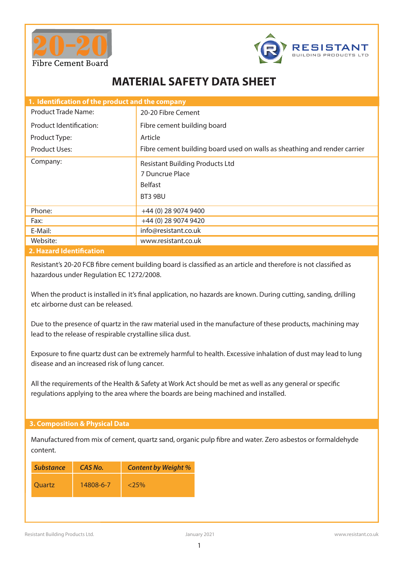



# **MATERIAL SAFETY DATA SHEET**

| 1. Identification of the product and the company |                                                                                        |  |
|--------------------------------------------------|----------------------------------------------------------------------------------------|--|
| <b>Product Trade Name:</b>                       | 20-20 Fibre Cement                                                                     |  |
| Product Identification:                          | Fibre cement building board                                                            |  |
| Product Type:                                    | Article                                                                                |  |
| Product Uses:                                    | Fibre cement building board used on walls as sheathing and render carrier              |  |
| Company:                                         | <b>Resistant Building Products Ltd</b><br>7 Duncrue Place<br><b>Belfast</b><br>BT3 9BU |  |
| Phone:                                           | +44 (0) 28 9074 9400                                                                   |  |
| Fax:                                             | +44 (0) 28 9074 9420                                                                   |  |
| E-Mail:                                          | info@resistant.co.uk                                                                   |  |
| Website:                                         | www.resistant.co.uk                                                                    |  |
| <b>C. Unequal Identification</b>                 |                                                                                        |  |

#### **2. Hazard Identification**

Resistant's 20-20 FCB fibre cement building board is classified as an article and therefore is not classified as hazardous under Regulation EC 1272/2008.

When the product is installed in it's final application, no hazards are known. During cutting, sanding, drilling etc airborne dust can be released.

Due to the presence of quartz in the raw material used in the manufacture of these products, machining may lead to the release of respirable crystalline silica dust.

Exposure to fine quartz dust can be extremely harmful to health. Excessive inhalation of dust may lead to lung disease and an increased risk of lung cancer.

All the requirements of the Health & Safety at Work Act should be met as well as any general or specific regulations applying to the area where the boards are being machined and installed.

#### **3. Composition & Physical Data**

Manufactured from mix of cement, quartz sand, organic pulp fibre and water. Zero asbestos or formaldehyde content.

| <b>Substance</b> | CAS No.   | <b>Content by Weight %</b> |
|------------------|-----------|----------------------------|
| <b>Ouartz</b>    | 14808-6-7 | $< 25\%$                   |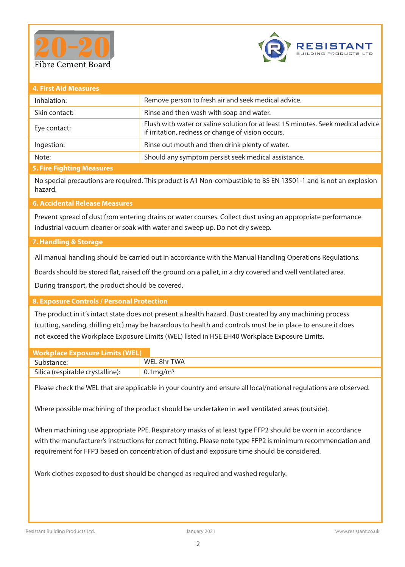



| <b>4. First Aid Measures</b> |                                                                                                                                        |
|------------------------------|----------------------------------------------------------------------------------------------------------------------------------------|
| Inhalation:                  | Remove person to fresh air and seek medical advice.                                                                                    |
| Skin contact:                | Rinse and then wash with soap and water.                                                                                               |
| Eye contact:                 | Flush with water or saline solution for at least 15 minutes. Seek medical advice<br>if irritation, redness or change of vision occurs. |
| Ingestion:                   | Rinse out mouth and then drink plenty of water.                                                                                        |
| Note:                        | Should any symptom persist seek medical assistance.                                                                                    |
| 5 Eiro Eighting Maacurac     |                                                                                                                                        |

### **5. Fire Fighting Measures**

No special precautions are required. This product is A1 Non-combustible to BS EN 13501-1 and is not an explosion hazard.

## **6. Accidental Release Measures**

Prevent spread of dust from entering drains or water courses. Collect dust using an appropriate performance industrial vacuum cleaner or soak with water and sweep up. Do not dry sweep.

#### **7. Handling & Storage**

All manual handling should be carried out in accordance with the Manual Handling Operations Regulations.

Boards should be stored flat, raised off the ground on a pallet, in a dry covered and well ventilated area.

During transport, the product should be covered.

#### **8. Exposure Controls / Personal Protection**

The product in it's intact state does not present a health hazard. Dust created by any machining process (cutting, sanding, drilling etc) may be hazardous to health and controls must be in place to ensure it does not exceed the Workplace Exposure Limits (WEL) listed in HSE EH40 Workplace Exposure Limits.

| <b>Workplace Exposure Limits (WEL)</b> |                         |
|----------------------------------------|-------------------------|
| Substance:                             | WEL 8hr TWA             |
| Silica (respirable crystalline):       | $0.1 \,\mathrm{mg/m^3}$ |

Please check the WEL that are applicable in your country and ensure all local/national regulations are observed.

Where possible machining of the product should be undertaken in well ventilated areas (outside).

When machining use appropriate PPE. Respiratory masks of at least type FFP2 should be worn in accordance with the manufacturer's instructions for correct fitting. Please note type FFP2 is minimum recommendation and requirement for FFP3 based on concentration of dust and exposure time should be considered.

Work clothes exposed to dust should be changed as required and washed regularly.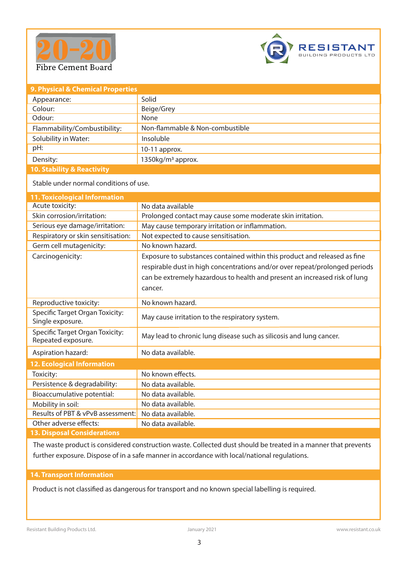



| 9. Physical & Chemical Properties |                                 |  |
|-----------------------------------|---------------------------------|--|
| Appearance:                       | Solid                           |  |
| Colour:                           | Beige/Grey                      |  |
| Odour:                            | None                            |  |
| Flammability/Combustibility:      | Non-flammable & Non-combustible |  |
| Solubility in Water:              | Insoluble                       |  |
| pH:                               | $10-11$ approx.                 |  |
| Density:                          | 1350kg/m <sup>3</sup> approx.   |  |
| <b>AA GALLIILAD BALLIILA</b>      |                                 |  |

**10. Stability & Reactivity**

Stable under normal conditions of use.

| <b>11. Toxicological Information</b>                  |                                                                             |
|-------------------------------------------------------|-----------------------------------------------------------------------------|
| Acute toxicity:                                       | No data available                                                           |
| Skin corrosion/irritation:                            | Prolonged contact may cause some moderate skin irritation.                  |
| Serious eye damage/irritation:                        | May cause temporary irritation or inflammation.                             |
| Respiratory or skin sensitisation:                    | Not expected to cause sensitisation.                                        |
| Germ cell mutagenicity:                               | No known hazard.                                                            |
| Carcinogenicity:                                      | Exposure to substances contained within this product and released as fine   |
|                                                       | respirable dust in high concentrations and/or over repeat/prolonged periods |
|                                                       | can be extremely hazardous to health and present an increased risk of lung  |
|                                                       | cancer.                                                                     |
| Reproductive toxicity:                                | No known hazard.                                                            |
| Specific Target Organ Toxicity:<br>Single exposure.   | May cause irritation to the respiratory system.                             |
| Specific Target Organ Toxicity:<br>Repeated exposure. | May lead to chronic lung disease such as silicosis and lung cancer.         |
| Aspiration hazard:                                    | No data available.                                                          |
| <b>12. Ecological Information</b>                     |                                                                             |
| Toxicity:                                             | No known effects.                                                           |
| Persistence & degradability:                          | No data available.                                                          |
| Bioaccumulative potential:                            | No data available.                                                          |
| Mobility in soil:                                     | No data available.                                                          |
| Results of PBT & vPvB assessment:                     | No data available.                                                          |
| Other adverse effects:                                | No data available.                                                          |
| <b>13. Disposal Considerations</b>                    |                                                                             |

The waste product is considered construction waste. Collected dust should be treated in a manner that prevents further exposure. Dispose of in a safe manner in accordance with local/national regulations.

## **14. Transport Information**

Product is not classified as dangerous for transport and no known special labelling is required.